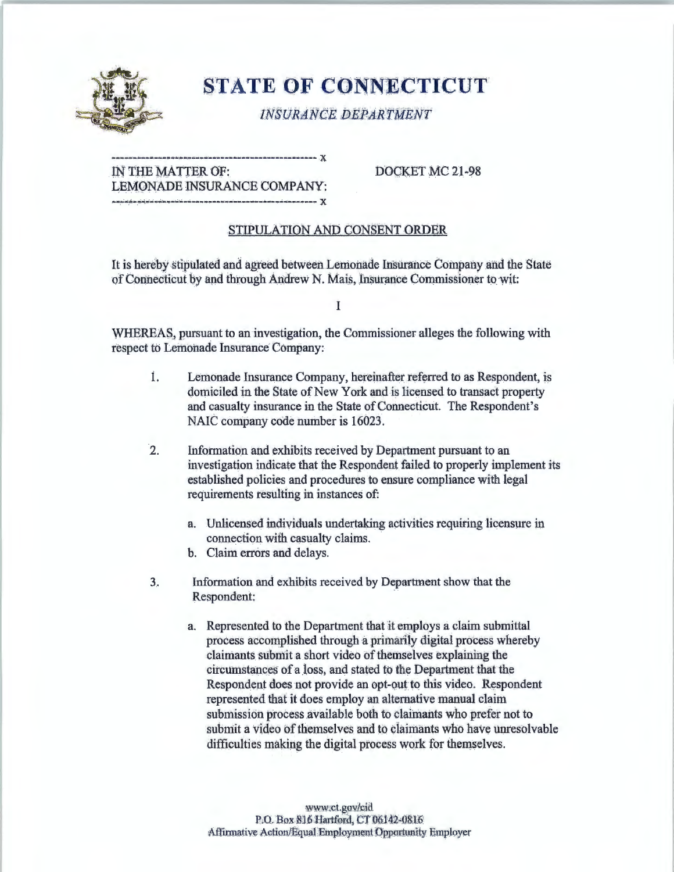

## **STATE OF CONNECTICUT**

**INSURANCE DEPARTMENT** 

IN THE MATTER OF: LEMONADE INSURANCE COMPANY: 

DOCKET MC 21-98

## STIPULATION AND CONSENT ORDER

It is hereby stipulated and agreed between Lemonade Insurance Company and the State of Connecticut by and through Andrew N. Mais, Insurance Commissioner to wit:

 $\bf{I}$ 

WHEREAS, pursuant to an investigation, the Commissioner alleges the following with respect to Lemonade Insurance Company:

- İ. Lemonade Insurance Company, hereinafter referred to as Respondent, is domiciled in the State of New York and is licensed to transact property and casualty insurance in the State of Connecticut. The Respondent's NAIC company code number is 16023.
- $\overline{2}$ . Information and exhibits received by Department pursuant to an investigation indicate that the Respondent failed to properly implement its established policies and procedures to ensure compliance with legal requirements resulting in instances of:
	- a. Unlicensed individuals undertaking activities requiring licensure in connection with casualty claims.
	- b. Claim errors and delays.
- Information and exhibits received by Department show that the 3. Respondent:
	- a. Represented to the Department that it employs a claim submittal process accomplished through a primarily digital process whereby claimants submit a short video of themselves explaining the circumstances of a loss, and stated to the Department that the Respondent does not provide an opt-out to this video. Respondent represented that it does employ an alternative manual claim submission process available both to claimants who prefer not to submit a video of themselves and to claimants who have unresolvable difficulties making the digital process work for themselves.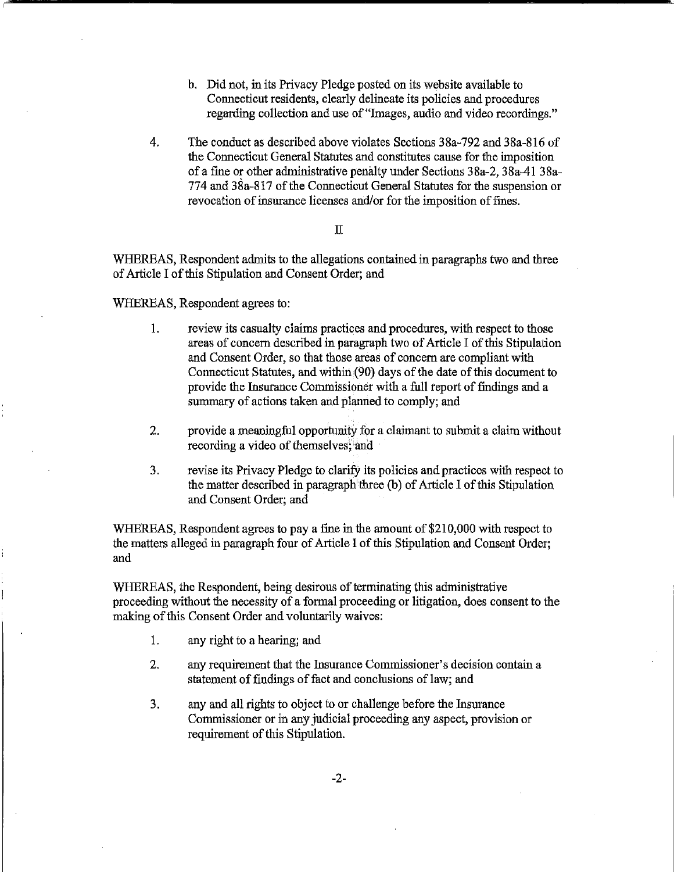- b. Did not, in its Privacy Pledge posted on its website available to Connecticut residents, clearly delineate its policies and procedures regarding collection and use of"Images, audio and video recordings."
- 4. The conduct as described above violates Sections 38a-792 and 38a-816 of the Connecticut General Statutes and constitutes cause for the imposition of a fine or other administrative penalty under Sections 38a-2, 38a-41 38a-774 and 38a-817 of the Connecticut General Statutes for the suspension or revocation of insurance licenses and/or for the imposition of fines.

## II

WHEREAS, Respondent admits to the allegations contained in paragraphs two and three of Article I of this Stipulation and Consent Order; and

WHEREAS, Respondent agrees to:

- 1. review its casualty claims practices and procedures, with respect to those areas of concern described in paragraph two of Article I of this Stipulation and Consent Order, so that those areas of concern are compliant with Connecticut Statutes, and within (90) days of the date of this document to provide the Insurance Commissioner with a full report of findings and a summary of actions taken and planned to comply; and
- 2. provide a meaningful opportunity for a claimant to submit a claim without recording a video of themselves; and
- 3. revise its Privacy Pledge to clarify its policies and practices with respect to the matter described in paragraph three (b) of Article I of this Stipulation and Consent Order; and

WHEREAS, Respondent agrees to pay a fine in the amount of \$210,000 with respect to the matters alleged in paragraph four of Article I of this Stipulation and Consent Order; and

WHEREAS, the Respondent, being desirous of terminating this administrative proceeding without the necessity of a formal proceeding or litigation, does consent to the making of this Consent Order and voluntarily waives:

- 1. any right to a hearing; and
- 2. any requirement that the Insurance Commissioner's decision contain a statement of findings of fact and conclusions of law; and
- 3. any and all rights to object to or challenge before the Insurance Commissioner or in any judicial proceeding any aspect, provision or requirement of this Stipulation.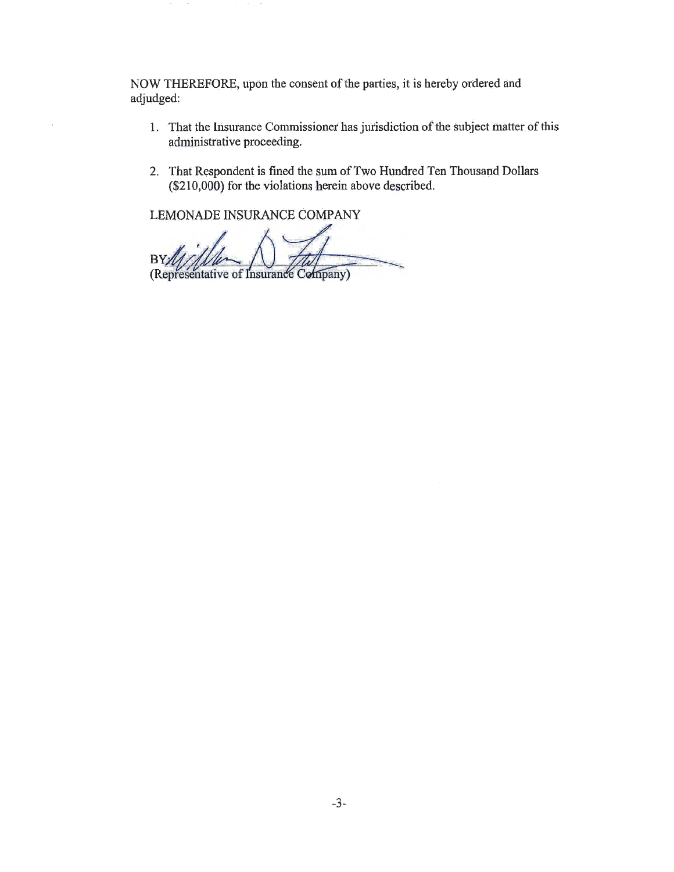NOW THEREFORE, upon the consent of the parties, it is hereby ordered and adjudged:

- 1. That the Insurance Commissioner has jurisdiction of the subject matter of this administrative proceeding.
- 2. That Respondent is fined the sum of Two Hundred Ten Thousand Dollars (\$210,000) for the violations herein above described.

LEMONADE INSURANCE COMPANY

 $\sim$ 

**BY** (Representative of Insurance Company)